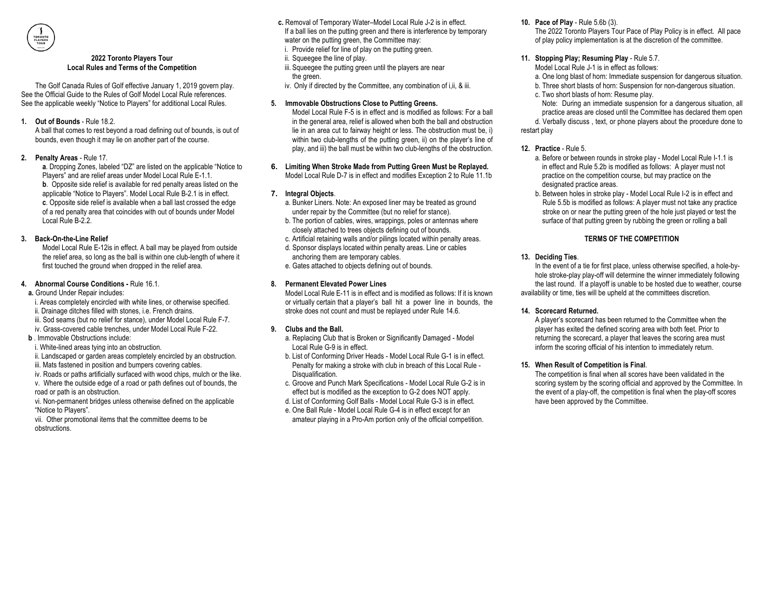#### **2022 Toronto Players Tour Local Rules and Terms of the Competition**

The Golf Canada Rules of Golf effective January 1, 2019 govern play. See the Official Guide to the Rules of Golf Model Local Rule references. See the applicable weekly "Notice to Players" for additional Local Rules.

**1. Out of Bounds** - Rule 18.2.

A ball that comes to rest beyond a road defining out of bounds, is out of bounds, even though it may lie on another part of the course.

**2. Penalty Areas** - Rule 17.

**a**. Dropping Zones, labeled "DZ" are listed on the applicable "Notice to Players" and are relief areas under Model Local Rule E-1.1. **b**. Opposite side relief is available for red penalty areas listed on the applicable "Notice to Players". Model Local Rule B-2.1 is in effect. **c**. Opposite side relief is available when a ball last crossed the edge of a red penalty area that coincides with out of bounds under Model Local Rule B-2.2.

**3. Back-On-the-Line Relief**

Model Local Rule E-12is in effect. A ball may be played from outside the relief area, so long as the ball is within one club-length of where it first touched the ground when dropped in the relief area.

- **4. Abnormal Course Conditions -** Rule 16.1.
- **a.** Ground Under Repair includes:
- i. Areas completely encircled with white lines, or otherwise specified.
- ii. Drainage ditches filled with stones, i.e. French drains.
- iii. Sod seams (but no relief for stance), under Model Local Rule F-7.
- iv. Grass-covered cable trenches, under Model Local Rule F-22.
- **b Immovable Obstructions include:**
- i. White-lined areas tying into an obstruction.
- ii. Landscaped or garden areas completely encircled by an obstruction.
- iii. Mats fastened in position and bumpers covering cables.
- iv. Roads or paths artificially surfaced with wood chips, mulch or the like.
- v. Where the outside edge of a road or path defines out of bounds, the road or path is an obstruction.

vi. Non-permanent bridges unless otherwise defined on the applicable "Notice to Players".

vii. Other promotional items that the committee deems to be obstructions.

- **c.** Removal of Temporary Water–Model Local Rule J-2 is in effect.
- If a ball lies on the putting green and there is interference by temporary water on the putting green, the Committee may:
- i. Provide relief for line of play on the putting green.
- ii. Squeegee the line of play.
- iii. Squeegee the putting green until the players are near the green.
- iv. Only if directed by the Committee, any combination of i, ii, & iii.

### **5. Immovable Obstructions Close to Putting Greens.**

Model Local Rule F-5 is in effect and is modified as follows: For a ball in the general area, relief is allowed when both the ball and obstruction lie in an area cut to fairway height or less. The obstruction must be, i) within two club-lengths of the putting green, ii) on the player's line of play, and iii) the ball must be within two club-lengths of the obstruction.

**6. Limiting When Stroke Made from Putting Green Must be Replayed.** Model Local Rule D-7 is in effect and modifies Exception 2 to Rule 11.1b

# **7. Integral Objects**.

- a. Bunker Liners. Note: An exposed liner may be treated as ground under repair by the Committee (but no relief for stance).
- b. The portion of cables, wires, wrappings, poles or antennas where closely attached to trees objects defining out of bounds.
- c. Artificial retaining walls and/or pilings located within penalty areas.
- d. Sponsor displays located within penalty areas. Line or cables anchoring them are temporary cables.
- e. Gates attached to objects defining out of bounds.

# **8. Permanent Elevated Power Lines**

Model Local Rule E-11 is in effect and is modified as follows: If it is known or virtually certain that a player's ball hit a power line in bounds, the stroke does not count and must be replayed under Rule 14.6.

# **9. Clubs and the Ball.**

- a. Replacing Club that is Broken or Significantly Damaged Model Local Rule G-9 is in effect.
- b. List of Conforming Driver Heads Model Local Rule G-1 is in effect. Penalty for making a stroke with club in breach of this Local Rule - Disqualification.
- c. Groove and Punch Mark Specifications Model Local Rule G-2 is in effect but is modified as the exception to G-2 does NOT apply.
- d. List of Conforming Golf Balls Model Local Rule G-3 is in effect.
- e. One Ball Rule Model Local Rule G-4 is in effect except for an amateur playing in a Pro-Am portion only of the official competition.

### **10. Pace of Play** - Rule 5.6b (3).

The 2022 Toronto Players Tour Pace of Play Policy is in effect. All pace of play policy implementation is at the discretion of the committee.

### **11. Stopping Play; Resuming Play** - Rule 5.7.

- Model Local Rule J-1 is in effect as follows:
- a. One long blast of horn: Immediate suspension for dangerous situation.
- b. Three short blasts of horn: Suspension for non-dangerous situation.
- c. Two short blasts of horn: Resume play.
- Note: During an immediate suspension for a dangerous situation, all practice areas are closed until the Committee has declared them open

d. Verbally discuss , text, or phone players about the procedure done to restart play

# **12. Practice** - Rule 5.

- a. Before or between rounds in stroke play Model Local Rule I-1.1 is in effect and Rule 5.2b is modified as follows: A player must not practice on the competition course, but may practice on the designated practice areas.
- b. Between holes in stroke play Model Local Rule I-2 is in effect and Rule 5.5b is modified as follows: A player must not take any practice stroke on or near the putting green of the hole just played or test the surface of that putting green by rubbing the green or rolling a ball

# **TERMS OF THE COMPETITION**

# **13. Deciding Ties**.

In the event of a tie for first place, unless otherwise specified, a hole-byhole stroke-play play-off will determine the winner immediately following the last round. If a playoff is unable to be hosted due to weather, course availability or time, ties will be upheld at the committees discretion.

# **14. Scorecard Returned.**

A player's scorecard has been returned to the Committee when the player has exited the defined scoring area with both feet. Prior to returning the scorecard, a player that leaves the scoring area must inform the scoring official of his intention to immediately return.

# **15. When Result of Competition is Final**.

The competition is final when all scores have been validated in the scoring system by the scoring official and approved by the Committee. In the event of a play-off, the competition is final when the play-off scores have been approved by the Committee.